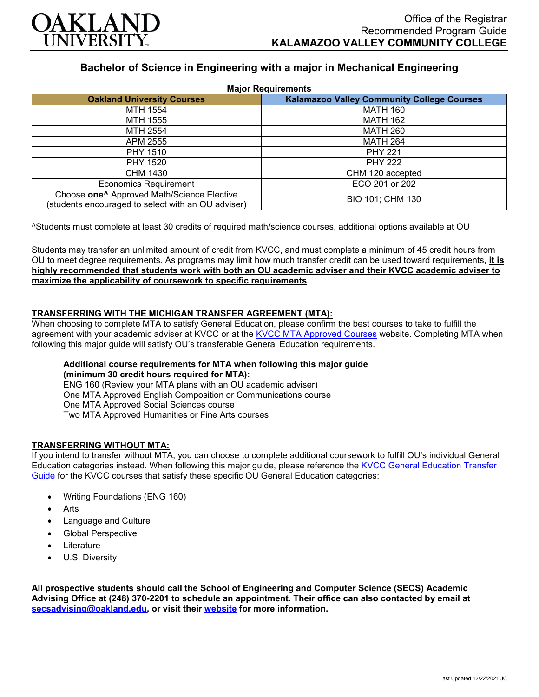

# **Bachelor of Science in Engineering with a major in Mechanical Engineering**

| <b>Major Requirements</b>                                                                                    |                                                   |
|--------------------------------------------------------------------------------------------------------------|---------------------------------------------------|
| <b>Oakland University Courses</b>                                                                            | <b>Kalamazoo Valley Community College Courses</b> |
| MTH 1554                                                                                                     | <b>MATH 160</b>                                   |
| MTH 1555                                                                                                     | <b>MATH 162</b>                                   |
| MTH 2554                                                                                                     | <b>MATH 260</b>                                   |
| APM 2555                                                                                                     | <b>MATH 264</b>                                   |
| <b>PHY 1510</b>                                                                                              | <b>PHY 221</b>                                    |
| PHY 1520                                                                                                     | <b>PHY 222</b>                                    |
| CHM 1430                                                                                                     | CHM 120 accepted                                  |
| <b>Economics Requirement</b>                                                                                 | ECO 201 or 202                                    |
| Choose one <sup>^</sup> Approved Math/Science Elective<br>(students encouraged to select with an OU adviser) | BIO 101; CHM 130                                  |

^Students must complete at least 30 credits of required math/science courses, additional options available at OU

Students may transfer an unlimited amount of credit from KVCC, and must complete a minimum of 45 credit hours from OU to meet degree requirements. As programs may limit how much transfer credit can be used toward requirements, **it is highly recommended that students work with both an OU academic adviser and their KVCC academic adviser to maximize the applicability of coursework to specific requirements**.

## **TRANSFERRING WITH THE MICHIGAN TRANSFER AGREEMENT (MTA):**

When choosing to complete MTA to satisfy General Education, please confirm the best courses to take to fulfill the agreement with your academic adviser at KVCC or at the [KVCC MTA Approved Courses](https://www.kvcc.edu/programs/mta.php) website. Completing MTA when following this major guide will satisfy OU's transferable General Education requirements.

#### **Additional course requirements for MTA when following this major guide (minimum 30 credit hours required for MTA):**

ENG 160 (Review your MTA plans with an OU academic adviser) One MTA Approved English Composition or Communications course One MTA Approved Social Sciences course Two MTA Approved Humanities or Fine Arts courses

## **TRANSFERRING WITHOUT MTA:**

If you intend to transfer without MTA, you can choose to complete additional coursework to fulfill OU's individual General Education categories instead. When following this major guide, please reference the [KVCC General Education Transfer](https://www.oakland.edu/Assets/Oakland/program-guides/kalamazoo-valley-community-college/university-general-education-requirements/Kalamazoo%20Valley%20Gen%20Ed.pdf)  [Guide](https://www.oakland.edu/Assets/Oakland/program-guides/kalamazoo-valley-community-college/university-general-education-requirements/Kalamazoo%20Valley%20Gen%20Ed.pdf) for the KVCC courses that satisfy these specific OU General Education categories:

- Writing Foundations (ENG 160)
- **Arts**
- Language and Culture
- Global Perspective
- **Literature**
- U.S. Diversity

**All prospective students should call the School of Engineering and Computer Science (SECS) Academic Advising Office at (248) 370-2201 to schedule an appointment. Their office can also contacted by email at [secsadvising@oakland.edu,](mailto:secsadvising@oakland.edu) or visit their [website](https://wwwp.oakland.edu/secs/advising/) for more information.**